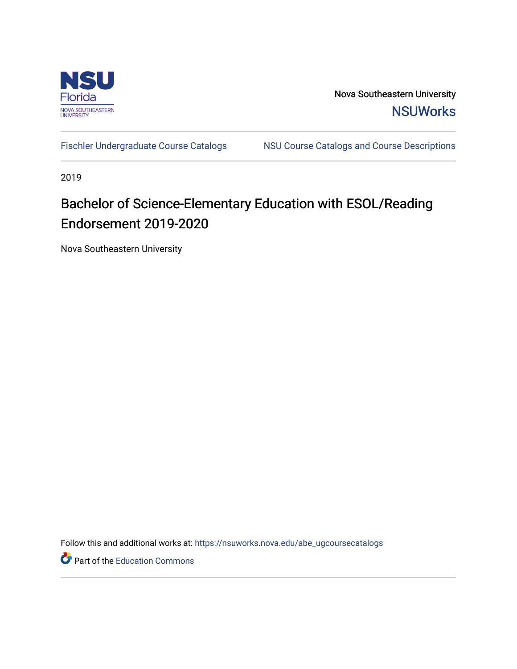

Nova Southeastern University **NSUWorks** 

[Fischler Undergraduate Course Catalogs](https://nsuworks.nova.edu/abe_ugcoursecatalogs) MSU Course Catalogs and Course Descriptions

2019

# Bachelor of Science-Elementary Education with ESOL/Reading Endorsement 2019-2020

Nova Southeastern University

Follow this and additional works at: [https://nsuworks.nova.edu/abe\\_ugcoursecatalogs](https://nsuworks.nova.edu/abe_ugcoursecatalogs?utm_source=nsuworks.nova.edu%2Fabe_ugcoursecatalogs%2F33&utm_medium=PDF&utm_campaign=PDFCoverPages) 

Part of the [Education Commons](http://network.bepress.com/hgg/discipline/784?utm_source=nsuworks.nova.edu%2Fabe_ugcoursecatalogs%2F33&utm_medium=PDF&utm_campaign=PDFCoverPages)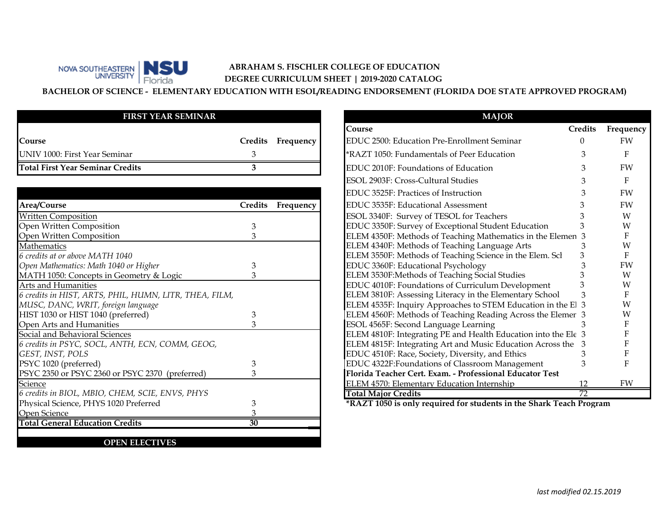# **ABRAHAM S. FISCHLER COLLEGE OF EDUCATION DEGREE CURRICULUM SHEET | 2019-2020 CATALOG**

**BACHELOR OF SCIENCE - ELEMENTARY EDUCATION WITH ESOL/READING ENDORSEMENT (FLORIDA DOE STATE APPROVED PROGRAM)**

### **FIRST YEAR SEMINAR**

Florida

NOVA SOUTHEASTERN BOULD

| <b>Course</b>                           | Credits Frequency |
|-----------------------------------------|-------------------|
| UNIV 1000: First Year Seminar           |                   |
| <b>Total First Year Seminar Credits</b> |                   |

|                                                        |         |           | EDUC 3525F: Practices of Instruction                                |    | FW |
|--------------------------------------------------------|---------|-----------|---------------------------------------------------------------------|----|----|
| Area/Course                                            | Credits | Frequency | EDUC 3535F: Educational Assessment                                  |    | FW |
| <b>Written Composition</b>                             |         |           | ESOL 3340F: Survey of TESOL for Teachers                            |    | W  |
| Open Written Composition                               |         |           | EDUC 3350F: Survey of Exceptional Student Education                 |    | W  |
| Open Written Composition                               |         |           | ELEM 4350F: Methods of Teaching Mathematics in the Elemen 3         |    |    |
| Mathematics                                            |         |           | ELEM 4340F: Methods of Teaching Language Arts                       |    | W  |
| 6 credits at or above MATH 1040                        |         |           | ELEM 3550F: Methods of Teaching Science in the Elem. Scl            |    |    |
| Open Mathematics: Math 1040 or Higher                  |         |           | EDUC 3360F: Educational Psychology                                  |    | FW |
| MATH 1050: Concepts in Geometry & Logic                |         |           | ELEM 3530F: Methods of Teaching Social Studies                      |    | W  |
| Arts and Humanities                                    |         |           | EDUC 4010F: Foundations of Curriculum Development                   |    | W  |
| 6 credits in HIST, ARTS, PHIL, HUMN, LITR, THEA, FILM, |         |           | ELEM 3810F: Assessing Literacy in the Elementary School             |    |    |
| MUSC, DANC, WRIT, foreign language                     |         |           | ELEM 4535F: Inquiry Approaches to STEM Education in the El 3        |    |    |
| HIST 1030 or HIST 1040 (preferred)                     |         |           | ELEM 4560F: Methods of Teaching Reading Across the Elemer 3         |    |    |
| Open Arts and Humanities                               |         |           | ESOL 4565F: Second Language Learning                                |    |    |
| Social and Behavioral Sciences                         |         |           | ELEM 4810F: Integrating PE and Health Education into the Ele 3      |    |    |
| 6 credits in PSYC, SOCL, ANTH, ECN, COMM, GEOG,        |         |           | ELEM 4815F: Integrating Art and Music Education Across the          |    |    |
| GEST, INST, POLS                                       |         |           | EDUC 4510F: Race, Society, Diversity, and Ethics                    |    |    |
| PSYC 1020 (preferred)                                  |         |           | EDUC 4322F: Foundations of Classroom Management                     |    |    |
| PSYC 2350 or PSYC 2360 or PSYC 2370 (preferred)        |         |           | Florida Teacher Cert. Exam. - Professional Educator Test            |    |    |
| <b>Science</b>                                         |         |           | ELEM 4570: Elementary Education Internship                          | 12 | FW |
| 6 credits in BIOL, MBIO, CHEM, SCIE, ENVS, PHYS        |         |           | <b>Total Major Credits</b>                                          | 72 |    |
| Physical Science, PHYS 1020 Preferred                  |         |           | *RAZT 1050 is only required for students in the Shark Teach Program |    |    |
| Open Science                                           |         |           |                                                                     |    |    |
| <b>Total General Education Credits</b>                 | 30      |           |                                                                     |    |    |
|                                                        |         |           |                                                                     |    |    |
| <b>OPEN ELECTIVES</b>                                  |         |           |                                                                     |    |    |

| <b>MAJOR</b>                                                      |                 |           |
|-------------------------------------------------------------------|-----------------|-----------|
| Course                                                            | <b>Credits</b>  | Frequency |
| EDUC 2500: Education Pre-Enrollment Seminar<br>dits:<br>Frequency | 0               | <b>FW</b> |
| *RAZT 1050: Fundamentals of Peer Education<br>3                   | 3               | F         |
| 3<br>EDUC 2010F: Foundations of Education                         | 3               | FW        |
| ESOL 2903F: Cross-Cultural Studies                                |                 | F         |
| EDUC 3525F: Practices of Instruction                              |                 | FW        |
| EDUC 3535F: Educational Assessment<br>dits<br>Frequency           |                 | FW        |
| ESOL 3340F: Survey of TESOL for Teachers                          |                 | W         |
| EDUC 3350F: Survey of Exceptional Student Education<br>3          |                 | W         |
| 3<br>ELEM 4350F: Methods of Teaching Mathematics in the Elemen 3  |                 | F         |
| ELEM 4340F: Methods of Teaching Language Arts                     | 3               | W         |
| ELEM 3550F: Methods of Teaching Science in the Elem. Scl          | 3               | F         |
| EDUC 3360F: Educational Psychology<br>3                           | 3               | FW        |
| 3<br>ELEM 3530F: Methods of Teaching Social Studies               |                 | W         |
| EDUC 4010F: Foundations of Curriculum Development                 |                 | W         |
| ELEM 3810F: Assessing Literacy in the Elementary School           |                 | F         |
| ELEM 4535F: Inquiry Approaches to STEM Education in the El 3      |                 | W         |
| ELEM 4560F: Methods of Teaching Reading Across the Elemer 3<br>3  |                 | W         |
| 3<br>ESOL 4565F: Second Language Learning                         | 3               | F         |
| ELEM 4810F: Integrating PE and Health Education into the Ele 3    |                 | F         |
| ELEM 4815F: Integrating Art and Music Education Across the        | 3               | F         |
| EDUC 4510F: Race, Society, Diversity, and Ethics                  | 3               | F         |
| EDUC 4322F: Foundations of Classroom Management<br>3              | 3               | F         |
| Florida Teacher Cert. Exam. - Professional Educator Test<br>3     |                 |           |
| ELEM 4570: Elementary Education Internship                        | 12              | FW        |
| <b>Total Major Credits</b>                                        | $\overline{72}$ |           |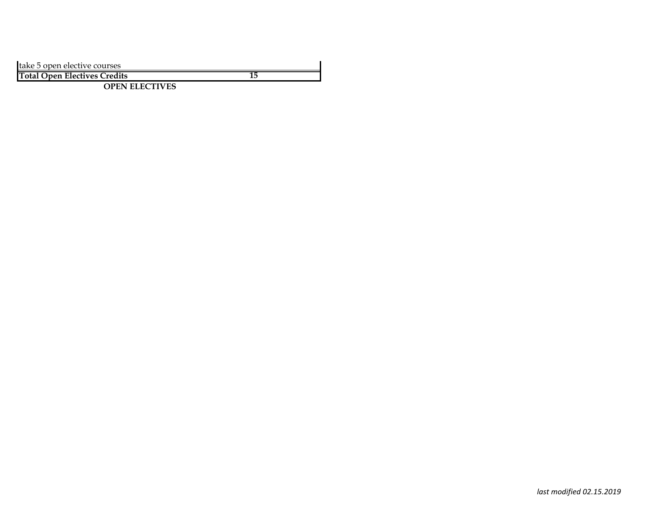| take 5 open elective courses        |  |
|-------------------------------------|--|
| <b>Total Open Electives Credits</b> |  |

**OPEN ELECTIVES**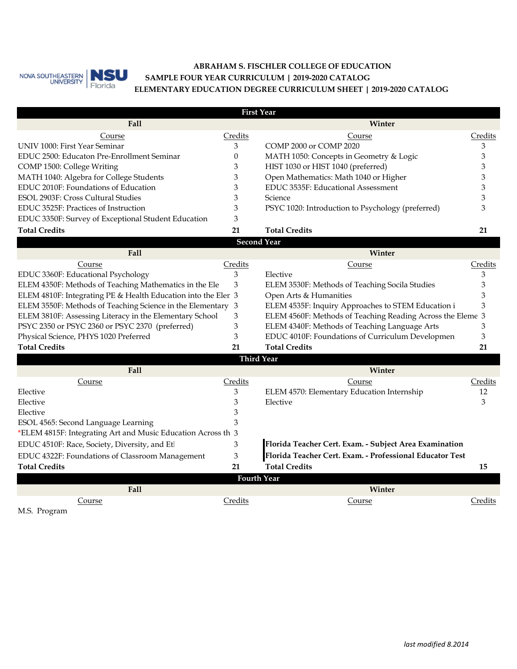

## **ABRAHAM S. FISCHLER COLLEGE OF EDUCATION ELEMENTARY EDUCATION DEGREE CURRICULUM SHEET | 2019-2020 CATALOG SAMPLE FOUR YEAR CURRICULUM | 2019-2020 CATALOG**

|                                                               |          | <b>First Year</b>                                          |         |
|---------------------------------------------------------------|----------|------------------------------------------------------------|---------|
| Fall                                                          |          | Winter                                                     |         |
| Course                                                        | Credits  | Course                                                     | Credits |
| UNIV 1000: First Year Seminar                                 | 3        | COMP 2000 or COMP 2020                                     | 3       |
| EDUC 2500: Educaton Pre-Enrollment Seminar                    | $\theta$ | MATH 1050: Concepts in Geometry & Logic                    | 3       |
| COMP 1500: College Writing                                    | 3        | HIST 1030 or HIST 1040 (preferred)                         | 3       |
| MATH 1040: Algebra for College Students                       | 3        | Open Mathematics: Math 1040 or Higher                      | 3       |
| EDUC 2010F: Foundations of Education                          | 3        | EDUC 3535F: Educational Assessment                         | 3       |
| ESOL 2903F: Cross Cultural Studies                            | 3        | Science                                                    | 3       |
| EDUC 3525F: Practices of Instruction                          | 3        | PSYC 1020: Introduction to Psychology (preferred)          | 3       |
| EDUC 3350F: Survey of Exceptional Student Education           | 3        |                                                            |         |
| <b>Total Credits</b>                                          | 21       | <b>Total Credits</b>                                       | 21      |
|                                                               |          | <b>Second Year</b>                                         |         |
| <b>Fall</b>                                                   |          | Winter                                                     |         |
| Course                                                        | Credits  | Course                                                     | Credits |
| EDUC 3360F: Educational Psychology                            | 3        | Elective                                                   | 3       |
| ELEM 4350F: Methods of Teaching Mathematics in the Ele        | 3        | ELEM 3530F: Methods of Teaching Socila Studies             | 3       |
| ELEM 4810F: Integrating PE & Health Education into the Elen 3 |          | Open Arts & Humanities                                     | 3       |
| ELEM 3550F: Methods of Teaching Science in the Elementary 3   |          | ELEM 4535F: Inquiry Approaches to STEM Education i         | 3       |
| ELEM 3810F: Assessing Literacy in the Elementary School       | 3        | ELEM 4560F: Methods of Teaching Reading Across the Eleme 3 |         |
| PSYC 2350 or PSYC 2360 or PSYC 2370 (preferred)               | 3        | ELEM 4340F: Methods of Teaching Language Arts              | 3       |
| Physical Science, PHYS 1020 Preferred                         | 3        | EDUC 4010F: Foundations of Curriculum Developmen           | 3       |
| <b>Total Credits</b>                                          | 21       | <b>Total Credits</b>                                       | 21      |
|                                                               |          | <b>Third Year</b>                                          |         |
| Fall                                                          |          | Winter                                                     |         |
| Course                                                        | Credits  | Course                                                     | Credits |
| Elective                                                      | 3        | ELEM 4570: Elementary Education Internship                 | 12      |
| Elective                                                      | 3        | Elective                                                   | 3       |
| Elective                                                      | 3        |                                                            |         |
| ESOL 4565: Second Language Learning                           | 3        |                                                            |         |
| *ELEM 4815F: Integrating Art and Music Education Across th 3  |          |                                                            |         |
| EDUC 4510F: Race, Society, Diversity, and Etl                 | 3        | Florida Teacher Cert. Exam. - Subject Area Examination     |         |
| EDUC 4322F: Foundations of Classroom Management               | 3        | Florida Teacher Cert. Exam. - Professional Educator Test   |         |
| <b>Total Credits</b>                                          | 21       | <b>Total Credits</b>                                       | 15      |
|                                                               |          | <b>Fourth Year</b>                                         |         |
| Fall                                                          |          | Winter                                                     |         |
| Course                                                        | Credits  | Course                                                     | Credits |
| M.S. Program                                                  |          |                                                            |         |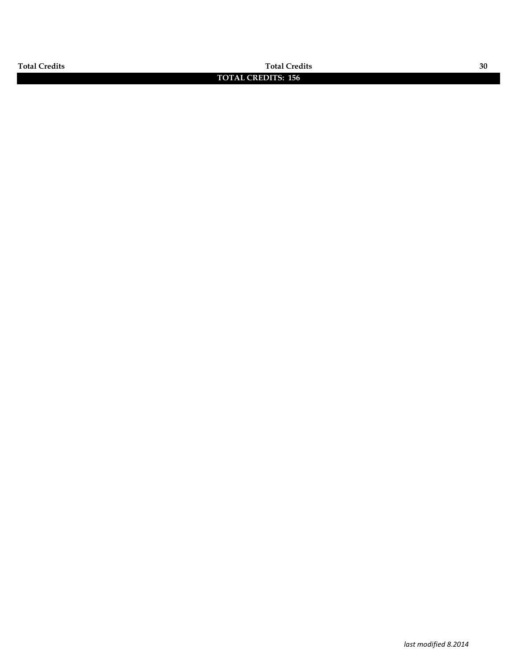**Total Credits Total Credits 30**

## **TOTAL CREDITS: 156**